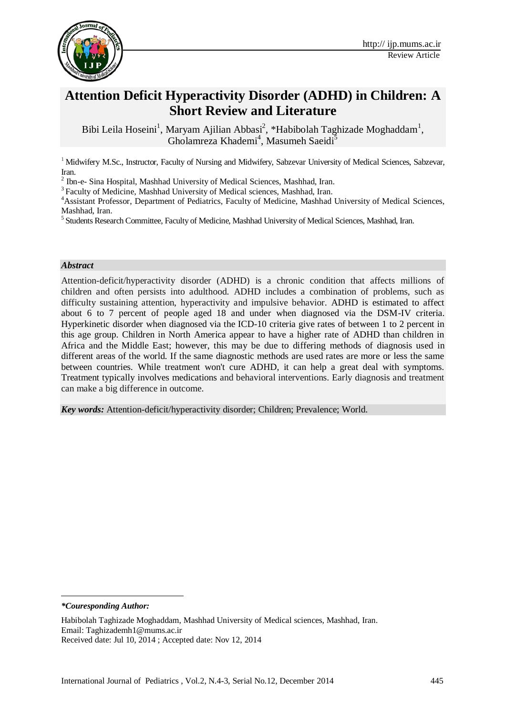

# **Attention Deficit Hyperactivity Disorder (ADHD) in Children: A Short Review and Literature**

Bibi Leila Hoseini<sup>1</sup>, Maryam Ajilian Abbasi<sup>2</sup>, \*Habibolah Taghizade Moghaddam<sup>1</sup>, Gholamreza Khademi<sup>4</sup>, Masumeh Saeidi<sup>5</sup>

<sup>1</sup> Midwifery M.Sc., Instructor, Faculty of Nursing and Midwifery, Sabzevar University of Medical Sciences, Sabzevar, Iran.

<sup>2</sup> Ibn-e- Sina Hospital, Mashhad University of Medical Sciences, Mashhad, Iran.

<sup>3</sup> Faculty of Medicine, Mashhad University of Medical sciences, Mashhad, Iran.

<sup>4</sup>Assistant Professor, Department of Pediatrics, Faculty of Medicine, Mashhad University of Medical Sciences, Mashhad, Iran.

<sup>5</sup> Students Research Committee, Faculty of Medicine, Mashhad University of Medical Sciences, Mashhad, Iran.

#### *Abstract*

Attention-deficit/hyperactivity disorder (ADHD) is a chronic condition that affects millions of children and often persists into adulthood. ADHD includes a combination of problems, such as difficulty sustaining attention, hyperactivity and impulsive behavior. ADHD is estimated to affect about 6 to 7 percent of people aged 18 and under when diagnosed via the DSM-IV criteria. [Hyperkinetic disorder](http://en.wikipedia.org/wiki/Hyperkinetic_disorder) when diagnosed via the ICD-10 criteria give rates of between 1 to 2 percent in this age group. Children in North America appear to have a higher rate of ADHD than children in Africa and the Middle East; however, this may be due to differing methods of diagnosis used in different areas of the world. If the same diagnostic methods are used rates are more or less the same between countries. While treatment won't cure ADHD, it can help a great deal with symptoms. Treatment typically involves medications and behavioral interventions. Early diagnosis and treatment can make a big difference in outcome.

*Key words:* Attention-deficit/hyperactivity disorder; Children; Prevalence; World.

*\*Couresponding Author:*

**.** 

Habibolah Taghizade Moghaddam, Mashhad University of Medical sciences, Mashhad, Iran. Email: Taghizademh1@mums.ac.ir Received date: Jul 10, 2014 ; Accepted date: Nov 12, 2014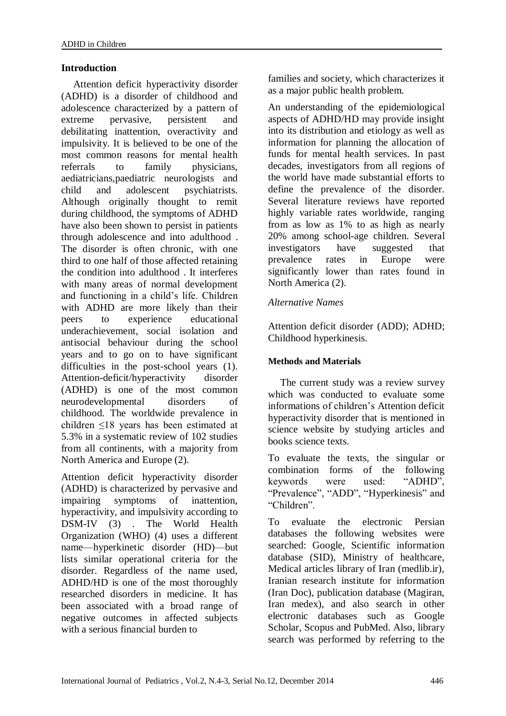# **Introduction**

Attention deficit hyperactivity disorder (ADHD) is a disorder of childhood and adolescence characterized by a pattern of extreme pervasive, persistent and debilitating inattention, overactivity and impulsivity. It is believed to be one of the most common reasons for mental health referrals to family physicians, aediatricians,paediatric neurologists and child and adolescent psychiatrists. Although originally thought to remit during childhood, the symptoms of ADHD have also been shown to persist in patients through adolescence and into adulthood . The disorder is often chronic, with one third to one half of those affected retaining the condition into adulthood . It interferes with many areas of normal development and functioning in a child's life. Children with ADHD are more likely than their peers to experience educational underachievement, social isolation and antisocial behaviour during the school years and to go on to have significant difficulties in the post-school years (1). Attention-deficit/hyperactivity disorder [\(ADHD\)](javascript:void(0);) is one of the most common neurodevelopmental disorders of childhood. The worldwide prevalence in children ≤18 years has been estimated at 5.3% in a systematic review of 102 studies from all continents, with a majority from North America and Europe [\(2\)](http://www.sciencedirect.com/science/article/pii/S0924977X14002788#bib35).

Attention deficit hyperactivity disorder (ADHD) is characterized by pervasive and impairing symptoms of inattention, hyperactivity, and impulsivity according to DSM-IV [\(3\)](javascript:popRef() . The World Health Organization (WHO) [\(4\)](javascript:popRef() uses a different name—hyperkinetic disorder (HD)—but lists similar operational criteria for the disorder. Regardless of the name used, ADHD/HD is one of the most thoroughly researched disorders in medicine. It has been associated with a broad range of negative outcomes in affected subjects with a serious financial burden to

families and society, which characterizes it as a major public health problem.

An understanding of the epidemiological aspects of ADHD/HD may provide insight into its distribution and etiology as well as information for planning the allocation of funds for mental health services. In past decades, investigators from all regions of the world have made substantial efforts to define the prevalence of the disorder. Several literature reviews have reported highly variable rates worldwide, ranging from as low as 1% to as high as nearly 20% among school-age children. Several investigators have suggested that prevalence rates in Europe were significantly lower than rates found in North America (2).

### *Alternative Names*

Attention deficit disorder (ADD); ADHD; Childhood hyperkinesis.

### **Methods and Materials**

The current study was a review survey which was conducted to evaluate some informations of children's Attention deficit hyperactivity disorder that is mentioned in science website by studying articles and books science texts.

To evaluate the texts, the singular or combination forms of the following keywords were used: "ADHD", "Prevalence", "ADD", "Hyperkinesis" and "Children".

To evaluate the electronic Persian databases the following websites were searched: Google, Scientific information database (SID), Ministry of healthcare, Medical articles library of Iran (medlib.ir), Iranian research institute for information (Iran Doc), publication database (Magiran, Iran medex), and also search in other electronic databases such as Google Scholar, Scopus and PubMed. Also, library search was performed by referring to the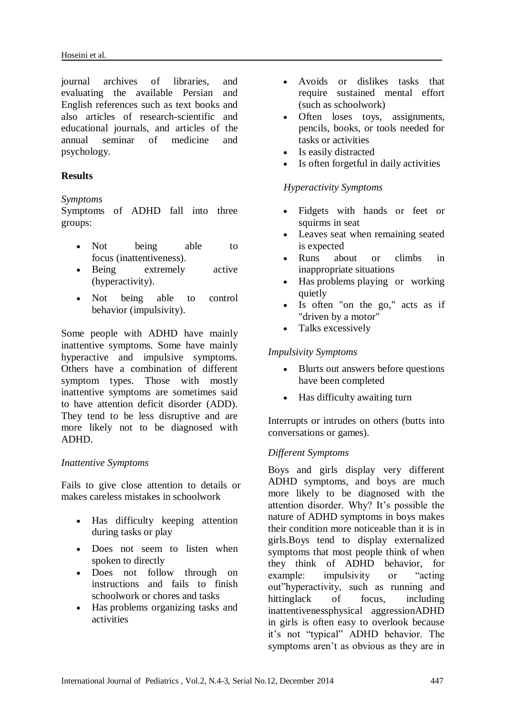journal archives of libraries, and evaluating the available Persian and English references such as text books and also articles of research-scientific and educational journals, and articles of the annual seminar of medicine and psychology.

# **Results**

### *Symptoms*

Symptoms of ADHD fall into three groups:

- Not being able to focus (inattentiveness).
- Being extremely active (hyperactivity).
- Not being able to control behavior (impulsivity).

Some people with ADHD have mainly inattentive symptoms. Some have mainly hyperactive and impulsive symptoms. Others have a combination of different symptom types. Those with mostly inattentive symptoms are sometimes said to have attention deficit disorder (ADD). They tend to be less disruptive and are more likely not to be diagnosed with ADHD.

### *Inattentive Symptoms*

Fails to give close attention to details or makes careless mistakes in schoolwork

- Has difficulty keeping attention during tasks or play
- Does not seem to listen when spoken to directly
- Does not follow through on instructions and fails to finish schoolwork or chores and tasks
- Has problems organizing tasks and activities
- Avoids or dislikes tasks that require sustained mental effort (such as schoolwork)
- Often loses toys, assignments, pencils, books, or tools needed for tasks or activities
- Is easily distracted
- Is often forgetful in daily activities

# *Hyperactivity Symptoms*

- Fidgets with hands or feet or squirms in seat
- Leaves seat when remaining seated is expected
- Runs about or climbs in inappropriate situations
- Has problems playing or working quietly
- Is often "on the go," acts as if "driven by a motor"
- Talks excessively

# *Impulsivity Symptoms*

- Blurts out answers before questions have been completed
- Has difficulty awaiting turn

Interrupts or intrudes on others (butts into conversations or games).

# *Different Symptoms*

Boys and girls display very different ADHD symptoms, and boys are much more likely to be diagnosed with the attention disorder. Why? It's possible the nature of ADHD symptoms in boys makes their condition more noticeable than it is in girls.Boys tend to display externalized symptoms that most people think of when they think of ADHD behavior, for example: impulsivity or "acting out"hyperactivity, such as running and hittinglack of focus, including inattentivenessphysical aggressionADHD in girls is often easy to overlook because it's not "typical" ADHD behavior. The symptoms aren't as obvious as they are in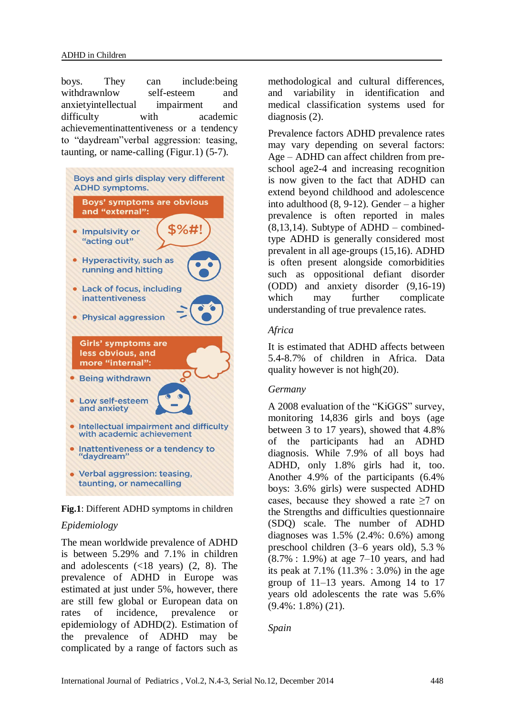boys. They can include:being withdrawnlow self-esteem and anxietyintellectual impairment and difficulty with academic achievementinattentiveness or a tendency to "daydream"verbal aggression: teasing, taunting, or name-calling (Figur.1) (5-7).





# *Epidemiology*

The mean worldwide prevalence of ADHD is between 5.29% and 7.1% in children and adolescents  $(\langle 18 \text{ years} \rangle)$   $(2, 8)$ . The prevalence of ADHD in Europe was estimated at just under 5%, however, there are still few global or European data on rates of incidence, prevalence or epidemiology of ADHD(2). Estimation of the prevalence of ADHD may be complicated by a range of factors such as methodological and cultural differences, and variability in identification and medical classification systems used for diagnosis (2).

Prevalence factors ADHD prevalence rates may vary depending on several factors: Age – ADHD can affect children from preschool age2-4 and increasing recognition is now given to the fact that ADHD can extend beyond childhood and adolescence into adulthood (8, 9-12). Gender – a higher prevalence is often reported in males  $(8,13,14)$ . Subtype of ADHD – combinedtype ADHD is generally considered most prevalent in all age-groups (15,16). ADHD is often present alongside comorbidities such as oppositional defiant disorder (ODD) and anxiety disorder (9,16-19) which may further complicate understanding of true prevalence rates.

## *Africa*

It is estimated that ADHD affects between 5.4-8.7% of children in Africa. Data quality however is not high(20).

# *Germany*

A 2008 evaluation of the "KiGGS" survey, monitoring 14,836 girls and boys (age between 3 to 17 years), showed that 4.8% of the participants had an ADHD diagnosis. While 7.9% of all boys had ADHD, only 1.8% girls had it, too. Another 4.9% of the participants (6.4% boys: 3.6% girls) were suspected ADHD cases, because they showed a rate ≥7 on the [Strengths and difficulties questionnaire](http://en.wikipedia.org/wiki/Strengths_and_Difficulties_Questionnaire) (SDQ) scale. The number of ADHD diagnoses was 1.5% (2.4%: 0.6%) among preschool children (3–6 years old), 5.3 % (8.7% : 1.9%) at age 7–10 years, and had its peak at 7.1% (11.3% : 3.0%) in the age group of 11–13 years. Among 14 to 17 years old adolescents the rate was 5.6% (9.4%: 1.8%) (21).

# *Spain*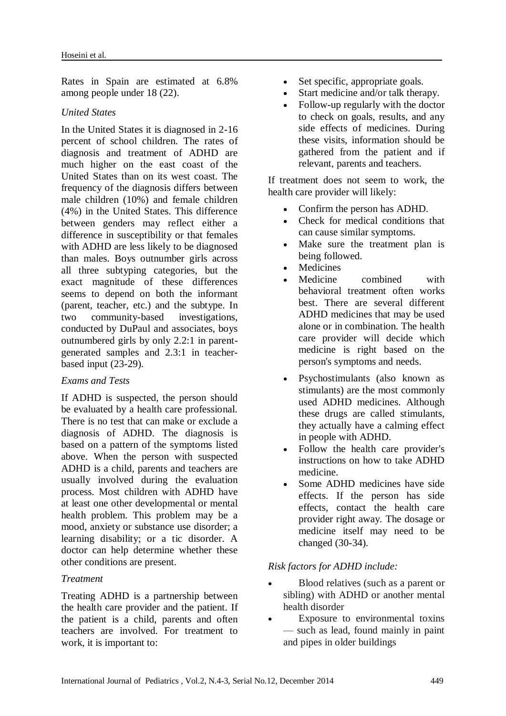Rates in Spain are estimated at 6.8% among people under 18 (22).

#### *United States*

In the United States it is diagnosed in 2-16 percent of school children. The rates of diagnosis and treatment of ADHD are much higher on the east coast of the United States than on its west coast. The frequency of the diagnosis differs between male children (10%) and female children (4%) in the United States. This difference between genders may reflect either a difference in susceptibility or that females with ADHD are less likely to be diagnosed than males. Boys outnumber girls across all three subtyping categories, but the exact magnitude of these differences seems to depend on both the informant (parent, teacher, etc.) and the [subtype.](http://en.wikipedia.org/wiki/Attention_deficit_hyperactivity_disorder) In two community-based investigations, conducted by DuPaul and associates, boys outnumbered girls by only 2.2:1 in parentgenerated samples and 2.3:1 in teacherbased input (23-29).

### *Exams and Tests*

If ADHD is suspected, the person should be evaluated by a health care professional. There is no test that can make or exclude a diagnosis of ADHD. The diagnosis is based on a pattern of the symptoms listed above. When the person with suspected ADHD is a child, parents and teachers are usually involved during the evaluation process. Most children with ADHD have at least one other developmental or mental health problem. This problem may be a mood, anxiety or substance use disorder; a learning disability; or a tic disorder. A doctor can help determine whether these other conditions are present.

#### *Treatment*

Treating ADHD is a partnership between the health care provider and the patient. If the patient is a child, parents and often teachers are involved. For treatment to work, it is important to:

- Set specific, appropriate goals.
- Start medicine and/or talk therapy.
- Follow-up regularly with the doctor to check on goals, results, and any side effects of medicines. During these visits, information should be gathered from the patient and if relevant, parents and teachers.

If treatment does not seem to work, the health care provider will likely:

- Confirm the person has ADHD.
- Check for medical conditions that can cause similar symptoms.
- Make sure the treatment plan is being followed.
- **Medicines**
- [Medicine](http://www.nlm.nih.gov/medlineplus/ency/article/007592.htm) combined with behavioral treatment often works best. There are several different ADHD medicines that may be used alone or in combination. The health care provider will decide which medicine is right based on the person's symptoms and needs.
- Psychostimulants (also known as stimulants) are the most commonly used ADHD medicines. Although these drugs are called stimulants, they actually have a calming effect in people with ADHD.
- Follow the health care provider's instructions on how to take ADHD medicine.
- Some ADHD medicines have side effects. If the person has side effects, contact the health care provider right away. The dosage or medicine itself may need to be changed (30-34).

### *Risk factors for ADHD include:*

- Blood relatives (such as a parent or sibling) with ADHD or another mental health disorder
- Exposure to environmental toxins — such as lead, found mainly in paint and pipes in older buildings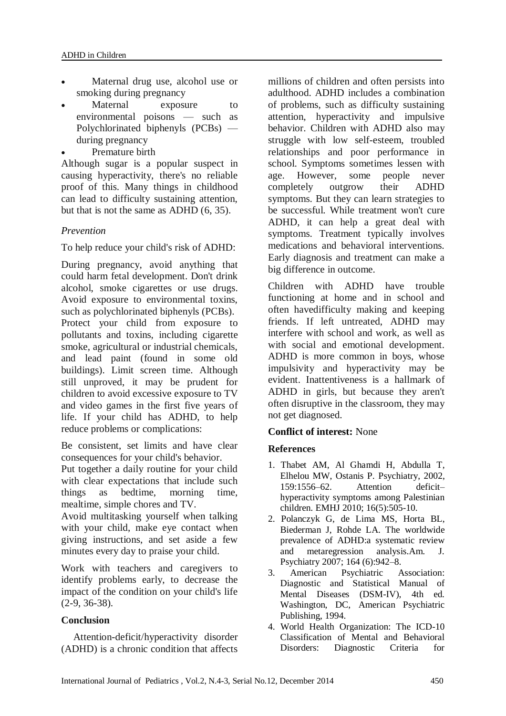- Maternal drug use, alcohol use or smoking during pregnancy
- Maternal exposure to environmental poisons — such as Polychlorinated biphenyls (PCBs) during pregnancy
- Premature birth

Although sugar is a popular suspect in causing hyperactivity, there's no reliable proof of this. Many things in childhood can lead to difficulty sustaining attention, but that is not the same as ADHD (6, 35).

# *Prevention*

To help reduce your child's risk of ADHD:

During pregnancy, avoid anything that could harm fetal development. Don't drink alcohol, smoke cigarettes or use drugs. Avoid exposure to environmental toxins, such as polychlorinated biphenyls (PCBs). Protect your child from exposure to pollutants and toxins, including cigarette smoke, agricultural or industrial chemicals, and lead paint (found in some old buildings). Limit screen time. Although still unproved, it may be prudent for children to avoid excessive exposure to TV and video games in the first five years of life. If your child has ADHD, to help reduce problems or complications:

Be consistent, set limits and have clear consequences for your child's behavior.

Put together a daily routine for your child with clear expectations that include such things as bedtime, morning time, mealtime, simple chores and TV.

Avoid multitasking yourself when talking with your child, make eye contact when giving instructions, and set aside a few minutes every day to praise your child.

Work with teachers and caregivers to identify problems early, to decrease the impact of the condition on your child's life (2-9, 36-38).

# **Conclusion**

Attention-deficit/hyperactivity disorder (ADHD) is a chronic condition that affects millions of children and often persists into adulthood. ADHD includes a combination of problems, such as difficulty sustaining attention, hyperactivity and impulsive behavior. Children with ADHD also may struggle with low self-esteem, troubled relationships and poor performance in school. Symptoms sometimes lessen with age. However, some people never completely outgrow their ADHD symptoms. But they can learn strategies to be successful. While treatment won't cure ADHD, it can help a great deal with symptoms. Treatment typically involves medications and behavioral interventions. Early diagnosis and treatment can make a big difference in outcome.

Children with ADHD have trouble functioning at home and in school and often havedifficulty making and keeping friends. If left untreated, ADHD may interfere with school and work, as well as with social and emotional development. ADHD is more common in boys, whose impulsivity and hyperactivity may be evident. Inattentiveness is a hallmark of ADHD in girls, but because they aren't often disruptive in the classroom, they may not get diagnosed.

# **Conflict of interest:** None

# **References**

- 1. Thabet AM, Al Ghamdi H, Abdulla T, Elhelou MW, Ostanis P. Psychiatry, 2002, 159:1556–62. Attention deficit– hyperactivity symptoms among Palestinian children. EMHJ 2010; 16(5):505-10.
- 2. [Polanczyk G,](http://www.ncbi.nlm.nih.gov/pubmed?term=Polanczyk%20G%5BAuthor%5D&cauthor=true&cauthor_uid=17541055) [de Lima MS,](http://www.ncbi.nlm.nih.gov/pubmed?term=de%20Lima%20MS%5BAuthor%5D&cauthor=true&cauthor_uid=17541055) [Horta BL,](http://www.ncbi.nlm.nih.gov/pubmed?term=Horta%20BL%5BAuthor%5D&cauthor=true&cauthor_uid=17541055) [Biederman J,](http://www.ncbi.nlm.nih.gov/pubmed?term=Biederman%20J%5BAuthor%5D&cauthor=true&cauthor_uid=17541055) [Rohde LA.](http://www.ncbi.nlm.nih.gov/pubmed?term=Rohde%20LA%5BAuthor%5D&cauthor=true&cauthor_uid=17541055) The worldwide prevalence of ADHD:a systematic review and metaregression analysis.Am. J. Psychiatry 2007; 164 (6):942–8.
- 3. American Psychiatric Association: Diagnostic and Statistical Manual of Mental Diseases (DSM-IV), 4th ed. Washington, DC, American Psychiatric Publishing, 1994.
- 4. World Health Organization: The ICD-10 Classification of Mental and Behavioral Disorders: Diagnostic Criteria for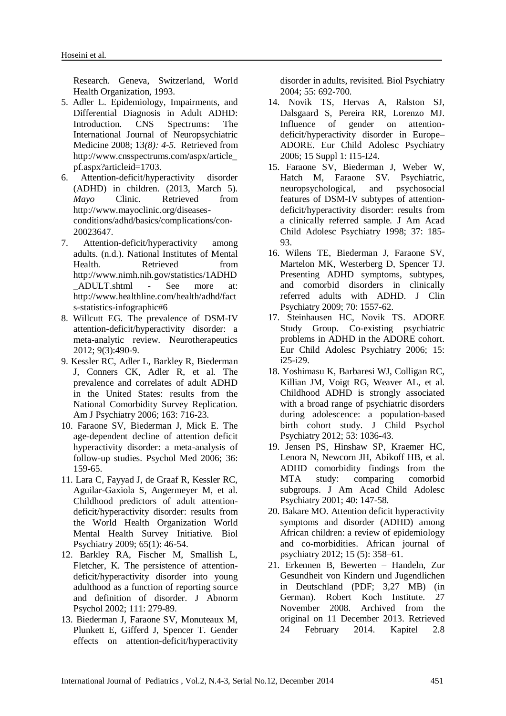Research. Geneva, Switzerland, World Health Organization, 1993.

- 5. Adler L. Epidemiology, Impairments, and Differential Diagnosis in Adult ADHD: Introduction. CNS Spectrums: The International Journal of Neuropsychiatric Medicine 2008; 13*(8): 4-5.* Retrieved from [http://www.cnsspectrums.com/aspx/article\\_](http://www.cnsspectrums.com/aspx/article_pf.aspx?articleid=1703) [pf.aspx?articleid=1703](http://www.cnsspectrums.com/aspx/article_pf.aspx?articleid=1703)*.*
- 6. Attention-deficit/hyperactivity disorder (ADHD) in children. (2013, March 5). *Mayo* Clinic. Retrieved from [http://www.mayoclinic.org/diseases](http://www.mayoclinic.org/diseases-conditions/adhd/basics/complications/con-20023647)[conditions/adhd/basics/complications/con-](http://www.mayoclinic.org/diseases-conditions/adhd/basics/complications/con-20023647)[20023647](http://www.mayoclinic.org/diseases-conditions/adhd/basics/complications/con-20023647).
- 7. Attention-deficit/hyperactivity among adults. (n.d.). National Institutes of Mental Health. Retrieved from [http://www.nimh.nih.gov/statistics/1ADHD](http://www.nimh.nih.gov/statistics/1ADHD_ADULT.shtml) [\\_ADULT.shtml](http://www.nimh.nih.gov/statistics/1ADHD_ADULT.shtml) - See more at: [http://www.healthline.com/health/adhd/fact](http://www.healthline.com/health/adhd/facts-statistics-infographic#6) [s-statistics-infographic#6](http://www.healthline.com/health/adhd/facts-statistics-infographic#6)
- 8. Willcutt EG. The prevalence of DSM-IV attention-deficit/hyperactivity disorder: a meta-analytic review. Neurotherapeutics 2012; 9(3):490-9.
- 9. Kessler RC, Adler L, Barkley R, [Biederman](http://www.ncbi.nlm.nih.gov/pubmed/?term=Biederman%20J%5Bauth%5D) J, Conners CK, Adler R, et al. The prevalence and correlates of adult ADHD in the United States: results from the National Comorbidity Survey Replication. Am J Psychiatry 2006; 163: 716-23.
- 10. Faraone SV, Biederman J, Mick E. The age-dependent decline of attention deficit hyperactivity disorder: a meta-analysis of follow-up studies. Psychol Med 2006; 36: 159-65.
- 11. Lara C, Fayyad J, de Graaf R, Kessler RC, Aguilar-Gaxiola S, Angermeyer M, et al. Childhood predictors of adult attentiondeficit/hyperactivity disorder: results from the World Health Organization World Mental Health Survey Initiative. Biol Psychiatry 2009; 65(1): 46-54.
- 12. Barkley RA, Fischer M, Smallish L, Fletcher, K. The persistence of attentiondeficit/hyperactivity disorder into young adulthood as a function of reporting source and definition of disorder. J Abnorm Psychol 2002; 111: 279-89.
- 13. Biederman J, Faraone SV, Monuteaux M, Plunkett E, Gifferd J, Spencer T. Gender effects on attention-deficit/hyperactivity

disorder in adults, revisited. Biol Psychiatry 2004; 55: 692-700.

- 14. Novik TS, Hervas A, Ralston SJ, Dalsgaard S, Pereira RR, Lorenzo MJ. Influence of gender on attentiondeficit/hyperactivity disorder in Europe– ADORE. Eur Child Adolesc Psychiatry 2006; 15 Suppl 1: I15-I24.
- 15. Faraone SV, Biederman J, Weber W, Hatch M, Faraone SV. Psychiatric, neuropsychological, and psychosocial features of DSM-IV subtypes of attentiondeficit/hyperactivity disorder: results from a clinically referred sample. J Am Acad Child Adolesc Psychiatry 1998; 37: 185- 93.
- 16. Wilens TE, Biederman J, Faraone SV, Martelon MK, Westerberg D, Spencer TJ. Presenting ADHD symptoms, subtypes, and comorbid disorders in clinically referred adults with ADHD. J Clin Psychiatry 2009; 70: 1557-62.
- 17. Steinhausen HC, Novik TS. ADORE Study Group. Co-existing psychiatric problems in ADHD in the ADORE cohort. Eur Child Adolesc Psychiatry 2006; 15: i25-i29.
- 18. Yoshimasu K, Barbaresi WJ, Colligan RC, Killian JM, Voigt RG, Weaver AL, et al. Childhood ADHD is strongly associated with a broad range of psychiatric disorders during adolescence: a population-based birth cohort study. J Child Psychol Psychiatry 2012; 53: 1036-43.
- 19. [Jensen PS,](http://www.ncbi.nlm.nih.gov/pubmed?term=Jensen%20PS%5BAuthor%5D&cauthor=true&cauthor_uid=11211363) [Hinshaw SP,](http://www.ncbi.nlm.nih.gov/pubmed?term=Hinshaw%20SP%5BAuthor%5D&cauthor=true&cauthor_uid=11211363) [Kraemer HC,](http://www.ncbi.nlm.nih.gov/pubmed?term=Kraemer%20HC%5BAuthor%5D&cauthor=true&cauthor_uid=11211363) [Lenora N,](http://www.ncbi.nlm.nih.gov/pubmed?term=Lenora%20N%5BAuthor%5D&cauthor=true&cauthor_uid=11211363) [Newcorn JH,](http://www.ncbi.nlm.nih.gov/pubmed?term=Newcorn%20JH%5BAuthor%5D&cauthor=true&cauthor_uid=11211363) [Abikoff HB,](http://www.ncbi.nlm.nih.gov/pubmed?term=Abikoff%20HB%5BAuthor%5D&cauthor=true&cauthor_uid=11211363) et al. ADHD comorbidity findings from the MTA study: comparing comorbid subgroups. J Am Acad Child Adolesc Psychiatry 2001; 40: 147-58.
- 20. Bakare MO. Attention deficit hyperactivity symptoms and disorder (ADHD) among African children: a review of epidemiology and co-morbidities. African journal of psychiatry 2012; 15 (5): 358–61.
- 21. Erkennen B, Bewerten [Handeln, Zur](http://web.archive.org/web/20131211041732/http:/www.rki.de/DE/Content/Gesundheitsmonitoring/Studien/Kiggs/Basiserhebung/KiGGS_GPA.pdf?__blob=publicationFile)  [Gesundheit von Kindern und](http://web.archive.org/web/20131211041732/http:/www.rki.de/DE/Content/Gesundheitsmonitoring/Studien/Kiggs/Basiserhebung/KiGGS_GPA.pdf?__blob=publicationFile) Jugendlichen [in Deutschland](http://web.archive.org/web/20131211041732/http:/www.rki.de/DE/Content/Gesundheitsmonitoring/Studien/Kiggs/Basiserhebung/KiGGS_GPA.pdf?__blob=publicationFile) (PDF; 3,27 MB) (in German). [Robert Koch Institute.](http://en.wikipedia.org/wiki/Robert_Koch_Institute) 27 November 2008. Archived from [the](http://www.rki.de/DE/Content/Gesundheitsmonitoring/Studien/Kiggs/Basiserhebung/KiGGS_GPA.pdf?__blob=publicationFile)  [original](http://www.rki.de/DE/Content/Gesundheitsmonitoring/Studien/Kiggs/Basiserhebung/KiGGS_GPA.pdf?__blob=publicationFile) on 11 December 2013. Retrieved 24 February 2014. Kapitel 2.8